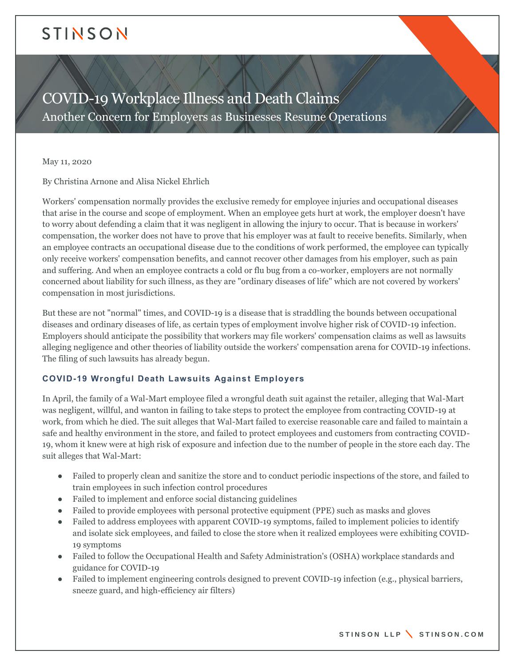# STINSON

COVID-19 Workplace Illness and Death Claims Another Concern for Employers as Businesses Resume Operations

May 11, 2020

By Christina Arnone and Alisa Nickel Ehrlich

Workers' compensation normally provides the exclusive remedy for employee injuries and occupational diseases that arise in the course and scope of employment. When an employee gets hurt at work, the employer doesn't have to worry about defending a claim that it was negligent in allowing the injury to occur. That is because in workers' compensation, the worker does not have to prove that his employer was at fault to receive benefits. Similarly, when an employee contracts an occupational disease due to the conditions of work performed, the employee can typically only receive workers' compensation benefits, and cannot recover other damages from his employer, such as pain and suffering. And when an employee contracts a cold or flu bug from a co-worker, employers are not normally concerned about liability for such illness, as they are "ordinary diseases of life" which are not covered by workers' compensation in most jurisdictions.

But these are not "normal" times, and COVID-19 is a disease that is straddling the bounds between occupational diseases and ordinary diseases of life, as certain types of employment involve higher risk of COVID-19 infection. Employers should anticipate the possibility that workers may file workers' compensation claims as well as lawsuits alleging negligence and other theories of liability outside the workers' compensation arena for COVID-19 infections. The filing of such lawsuits has already begun.

#### **COVID-19 Wrongful Death Lawsuits Against Employers**

In April, the family of a Wal-Mart employee filed a wrongful death suit against the retailer, alleging that Wal-Mart was negligent, willful, and wanton in failing to take steps to protect the employee from contracting COVID-19 at work, from which he died. The suit alleges that Wal-Mart failed to exercise reasonable care and failed to maintain a safe and healthy environment in the store, and failed to protect employees and customers from contracting COVID-19, whom it knew were at high risk of exposure and infection due to the number of people in the store each day. The suit alleges that Wal-Mart:

- Failed to properly clean and sanitize the store and to conduct periodic inspections of the store, and failed to train employees in such infection control procedures
- Failed to implement and enforce social distancing guidelines
- Failed to provide employees with personal protective equipment (PPE) such as masks and gloves
- Failed to address employees with apparent COVID-19 symptoms, failed to implement policies to identify and isolate sick employees, and failed to close the store when it realized employees were exhibiting COVID-19 symptoms
- Failed to follow the Occupational Health and Safety Administration's (OSHA) workplace standards and guidance for COVID-19
- Failed to implement engineering controls designed to prevent COVID-19 infection (e.g., physical barriers, sneeze guard, and high-efficiency air filters)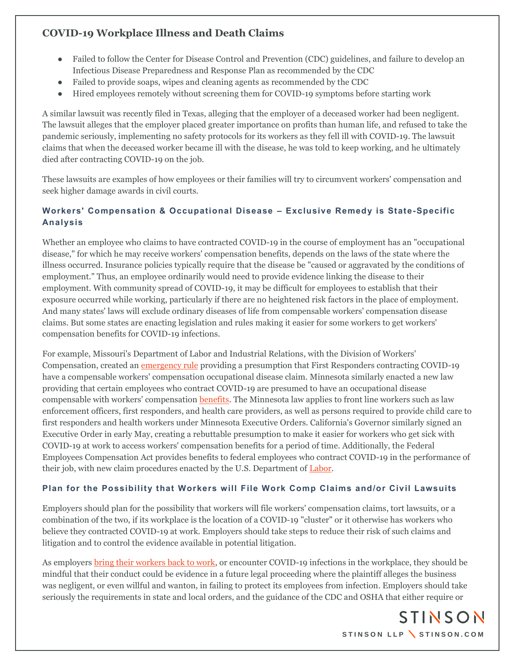- Failed to follow the Center for Disease Control and Prevention (CDC) guidelines, and failure to develop an Infectious Disease Preparedness and Response Plan as recommended by the CDC
- Failed to provide soaps, wipes and cleaning agents as recommended by the CDC
- Hired employees remotely without screening them for COVID-19 symptoms before starting work

A similar lawsuit was recently filed in Texas, alleging that the employer of a deceased worker had been negligent. The lawsuit alleges that the employer placed greater importance on profits than human life, and refused to take the pandemic seriously, implementing no safety protocols for its workers as they fell ill with COVID-19. The lawsuit claims that when the deceased worker became ill with the disease, he was told to keep working, and he ultimately died after contracting COVID-19 on the job.

These lawsuits are examples of how employees or their families will try to circumvent workers' compensation and seek higher damage awards in civil courts.

### **Workers' Compensation & Occupational Disease – Exclusive Remedy is State-Specific Analysis**

Whether an employee who claims to have contracted COVID-19 in the course of employment has an "occupational disease," for which he may receive workers' compensation benefits, depends on the laws of the state where the illness occurred. Insurance policies typically require that the disease be "caused or aggravated by the conditions of employment." Thus, an employee ordinarily would need to provide evidence linking the disease to their employment. With community spread of COVID-19, it may be difficult for employees to establish that their exposure occurred while working, particularly if there are no heightened risk factors in the place of employment. And many states' laws will exclude ordinary diseases of life from compensable workers' compensation disease claims. But some states are enacting legislation and rules making it easier for some workers to get workers' compensation benefits for COVID-19 infections.

For example, Missouri's Department of Labor and Industrial Relations, with the Division of Workers' Compensation, created an [emergency rule](https://labor.mo.gov/sites/labor/files/8_CSR_50-5.005_Emergency_Final.pdf) providing a presumption that First Responders contracting COVID-19 have a compensable workers' compensation occupational disease claim. Minnesota similarly enacted a new law providing that certain employees who contract COVID-19 are presumed to have an occupational disease compensable with workers' compensation **benefits**. The Minnesota law applies to front line workers such as law enforcement officers, first responders, and health care providers, as well as persons required to provide child care to first responders and health workers under Minnesota Executive Orders. California's Governor similarly signed an Executive Order in early May, creating a rebuttable presumption to make it easier for workers who get sick with COVID-19 at work to access workers' compensation benefits for a period of time. Additionally, the Federal Employees Compensation Act provides benefits to federal employees who contract COVID-19 in the performance of their job, with new claim procedures enacted by the U.S. Department of [Labor.](https://www.dol.gov/owcp/dfec/InfoFECACoverageCoronavirus.htm)

#### **Plan for the Possibility that Workers will File Work Comp Claims and/or Civil Lawsuits**

Employers should plan for the possibility that workers will file workers' compensation claims, tort lawsuits, or a combination of the two, if its workplace is the location of a COVID-19 "cluster" or it otherwise has workers who believe they contracted COVID-19 at work. Employers should take steps to reduce their risk of such claims and litigation and to control the evidence available in potential litigation.

As employers [bring their workers back to work,](https://www.stinson.com/newsroom-publications-Return-to-Work-Best-Practices-During-the-COVID-19-Pandemic) or encounter COVID-19 infections in the workplace, they should be mindful that their conduct could be evidence in a future legal proceeding where the plaintiff alleges the business was negligent, or even willful and wanton, in failing to protect its employees from infection. Employers should take seriously the requirements in state and local orders, and the guidance of the CDC and OSHA that either require or

> STINSON STINSON LLP \ STINSON.COM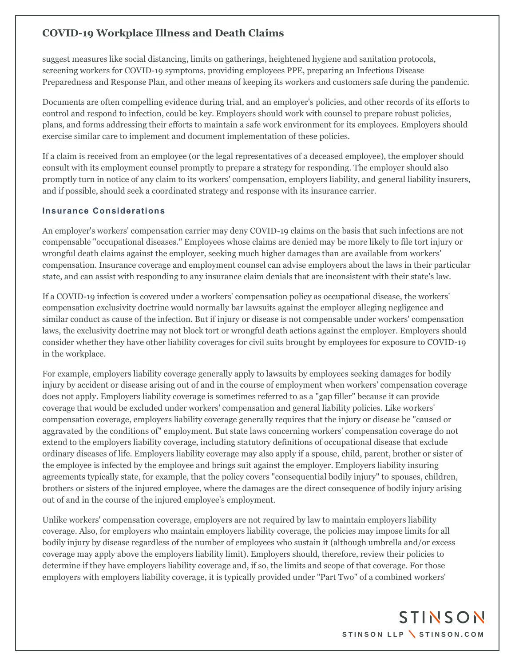suggest measures like social distancing, limits on gatherings, heightened hygiene and sanitation protocols, screening workers for COVID-19 symptoms, providing employees PPE, preparing an Infectious Disease Preparedness and Response Plan, and other means of keeping its workers and customers safe during the pandemic.

Documents are often compelling evidence during trial, and an employer's policies, and other records of its efforts to control and respond to infection, could be key. Employers should work with counsel to prepare robust policies, plans, and forms addressing their efforts to maintain a safe work environment for its employees. Employers should exercise similar care to implement and document implementation of these policies.

If a claim is received from an employee (or the legal representatives of a deceased employee), the employer should consult with its employment counsel promptly to prepare a strategy for responding. The employer should also promptly turn in notice of any claim to its workers' compensation, employers liability, and general liability insurers, and if possible, should seek a coordinated strategy and response with its insurance carrier.

#### **Insurance Considerations**

An employer's workers' compensation carrier may deny COVID-19 claims on the basis that such infections are not compensable "occupational diseases." Employees whose claims are denied may be more likely to file tort injury or wrongful death claims against the employer, seeking much higher damages than are available from workers' compensation. Insurance coverage and employment counsel can advise employers about the laws in their particular state, and can assist with responding to any insurance claim denials that are inconsistent with their state's law.

If a COVID-19 infection is covered under a workers' compensation policy as occupational disease, the workers' compensation exclusivity doctrine would normally bar lawsuits against the employer alleging negligence and similar conduct as cause of the infection. But if injury or disease is not compensable under workers' compensation laws, the exclusivity doctrine may not block tort or wrongful death actions against the employer. Employers should consider whether they have other liability coverages for civil suits brought by employees for exposure to COVID-19 in the workplace.

For example, employers liability coverage generally apply to lawsuits by employees seeking damages for bodily injury by accident or disease arising out of and in the course of employment when workers' compensation coverage does not apply. Employers liability coverage is sometimes referred to as a "gap filler" because it can provide coverage that would be excluded under workers' compensation and general liability policies. Like workers' compensation coverage, employers liability coverage generally requires that the injury or disease be "caused or aggravated by the conditions of" employment. But state laws concerning workers' compensation coverage do not extend to the employers liability coverage, including statutory definitions of occupational disease that exclude ordinary diseases of life. Employers liability coverage may also apply if a spouse, child, parent, brother or sister of the employee is infected by the employee and brings suit against the employer. Employers liability insuring agreements typically state, for example, that the policy covers "consequential bodily injury" to spouses, children, brothers or sisters of the injured employee, where the damages are the direct consequence of bodily injury arising out of and in the course of the injured employee's employment.

Unlike workers' compensation coverage, employers are not required by law to maintain employers liability coverage. Also, for employers who maintain employers liability coverage, the policies may impose limits for all bodily injury by disease regardless of the number of employees who sustain it (although umbrella and/or excess coverage may apply above the employers liability limit). Employers should, therefore, review their policies to determine if they have employers liability coverage and, if so, the limits and scope of that coverage. For those employers with employers liability coverage, it is typically provided under "Part Two" of a combined workers'

> STINSON STINSON LLP \ STINSON.COM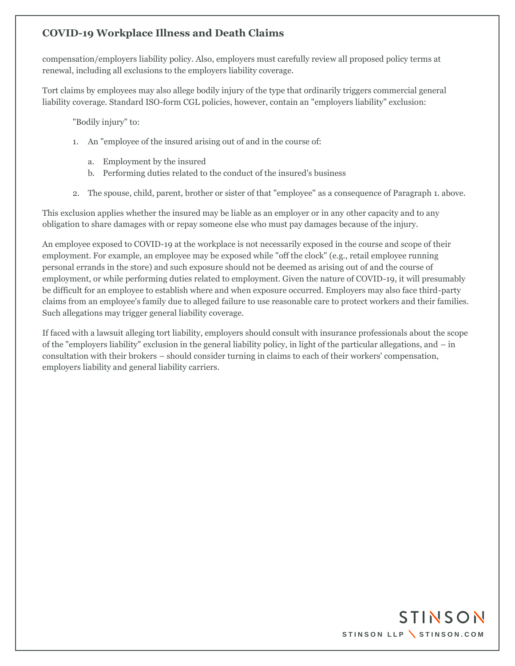compensation/employers liability policy. Also, employers must carefully review all proposed policy terms at renewal, including all exclusions to the employers liability coverage.

Tort claims by employees may also allege bodily injury of the type that ordinarily triggers commercial general liability coverage. Standard ISO-form CGL policies, however, contain an "employers liability" exclusion:

"Bodily injury" to:

- 1. An "employee of the insured arising out of and in the course of:
	- a. Employment by the insured
	- b. Performing duties related to the conduct of the insured's business
- 2. The spouse, child, parent, brother or sister of that "employee" as a consequence of Paragraph 1. above.

This exclusion applies whether the insured may be liable as an employer or in any other capacity and to any obligation to share damages with or repay someone else who must pay damages because of the injury.

An employee exposed to COVID-19 at the workplace is not necessarily exposed in the course and scope of their employment. For example, an employee may be exposed while "off the clock" (e.g., retail employee running personal errands in the store) and such exposure should not be deemed as arising out of and the course of employment, or while performing duties related to employment. Given the nature of COVID-19, it will presumably be difficult for an employee to establish where and when exposure occurred. Employers may also face third-party claims from an employee's family due to alleged failure to use reasonable care to protect workers and their families. Such allegations may trigger general liability coverage.

If faced with a lawsuit alleging tort liability, employers should consult with insurance professionals about the scope of the "employers liability" exclusion in the general liability policy, in light of the particular allegations, and – in consultation with their brokers – should consider turning in claims to each of their workers' compensation, employers liability and general liability carriers.